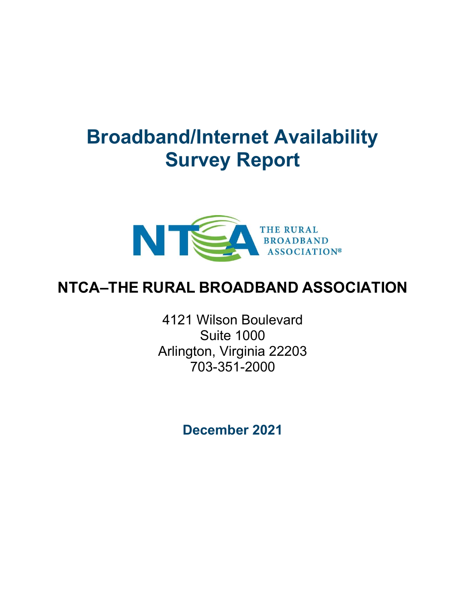# Broadband/Internet Availability Survey Report



## NTCA–THE RURAL BROADBAND ASSOCIATION

4121 Wilson Boulevard Suite 1000 Arlington, Virginia 22203 703-351-2000

December 2021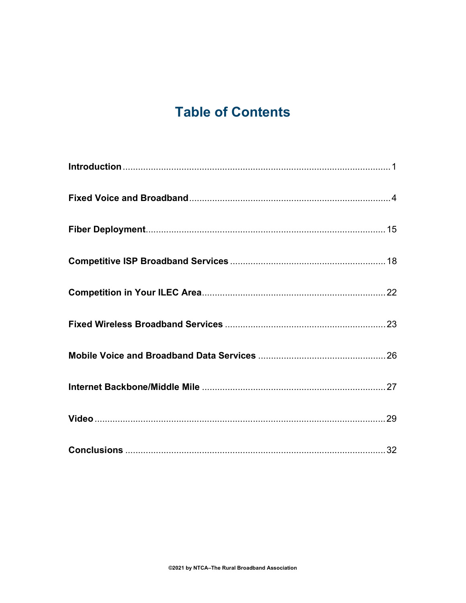## **Table of Contents**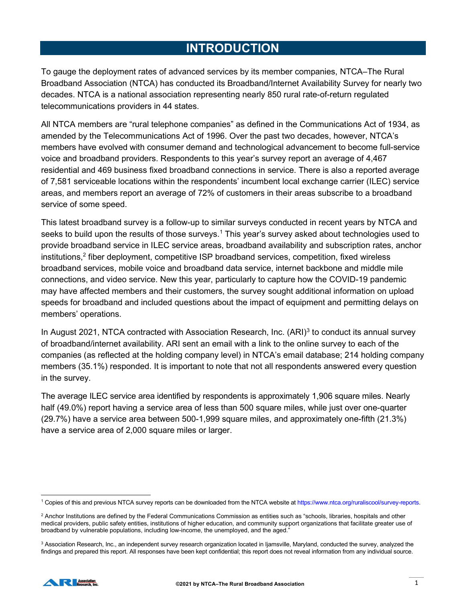## INTRODUCTION

To gauge the deployment rates of advanced services by its member companies, NTCA–The Rural Broadband Association (NTCA) has conducted its Broadband/Internet Availability Survey for nearly two decades. NTCA is a national association representing nearly 850 rural rate-of-return regulated telecommunications providers in 44 states.

All NTCA members are "rural telephone companies" as defined in the Communications Act of 1934, as amended by the Telecommunications Act of 1996. Over the past two decades, however, NTCA's members have evolved with consumer demand and technological advancement to become full-service voice and broadband providers. Respondents to this year's survey report an average of 4,467 residential and 469 business fixed broadband connections in service. There is also a reported average of 7,581 serviceable locations within the respondents' incumbent local exchange carrier (ILEC) service areas, and members report an average of 72% of customers in their areas subscribe to a broadband service of some speed.

This latest broadband survey is a follow-up to similar surveys conducted in recent years by NTCA and seeks to build upon the results of those surveys.<sup>1</sup> This year's survey asked about technologies used to provide broadband service in ILEC service areas, broadband availability and subscription rates, anchor institutions,<sup>2</sup> fiber deployment, competitive ISP broadband services, competition, fixed wireless broadband services, mobile voice and broadband data service, internet backbone and middle mile connections, and video service. New this year, particularly to capture how the COVID-19 pandemic may have affected members and their customers, the survey sought additional information on upload speeds for broadband and included questions about the impact of equipment and permitting delays on members' operations.

In August 2021, NTCA contracted with Association Research, Inc. (ARI)<sup>3</sup> to conduct its annual survey of broadband/internet availability. ARI sent an email with a link to the online survey to each of the companies (as reflected at the holding company level) in NTCA's email database; 214 holding company members (35.1%) responded. It is important to note that not all respondents answered every question in the survey.

The average ILEC service area identified by respondents is approximately 1,906 square miles. Nearly half (49.0%) report having a service area of less than 500 square miles, while just over one-quarter (29.7%) have a service area between 500-1,999 square miles, and approximately one-fifth (21.3%) have a service area of 2,000 square miles or larger.

 $^3$  Association Research, Inc., an independent survey research organization located in Ijamsville, Maryland, conducted the survey, analyzed the findings and prepared this report. All responses have been kept confidential; this report does not reveal information from any individual source.



<sup>1</sup> Copies of this and previous NTCA survey reports can be downloaded from the NTCA website at https://www.ntca.org/ruraliscool/survey-reports.

 $^2$  Anchor Institutions are defined by the Federal Communications Commission as entities such as "schools, libraries, hospitals and other medical providers, public safety entities, institutions of higher education, and community support organizations that facilitate greater use of broadband by vulnerable populations, including low-income, the unemployed, and the aged."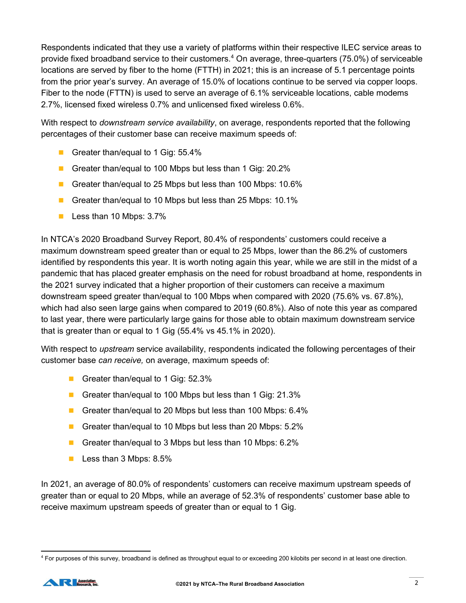Respondents indicated that they use a variety of platforms within their respective ILEC service areas to provide fixed broadband service to their customers.<sup>4</sup> On average, three-quarters (75.0%) of serviceable locations are served by fiber to the home (FTTH) in 2021; this is an increase of 5.1 percentage points from the prior year's survey. An average of 15.0% of locations continue to be served via copper loops. Fiber to the node (FTTN) is used to serve an average of 6.1% serviceable locations, cable modems 2.7%, licensed fixed wireless 0.7% and unlicensed fixed wireless 0.6%.

With respect to *downstream service availability*, on average, respondents reported that the following percentages of their customer base can receive maximum speeds of:

- Greater than/equal to 1 Gig: 55.4%
- Greater than/equal to 100 Mbps but less than 1 Gig: 20.2%
- Greater than/equal to 25 Mbps but less than 100 Mbps: 10.6%
- Greater than/equal to 10 Mbps but less than 25 Mbps: 10.1%
- **Less than 10 Mbps: 3.7%**

In NTCA's 2020 Broadband Survey Report, 80.4% of respondents' customers could receive a maximum downstream speed greater than or equal to 25 Mbps, lower than the 86.2% of customers identified by respondents this year. It is worth noting again this year, while we are still in the midst of a pandemic that has placed greater emphasis on the need for robust broadband at home, respondents in the 2021 survey indicated that a higher proportion of their customers can receive a maximum downstream speed greater than/equal to 100 Mbps when compared with 2020 (75.6% vs. 67.8%), which had also seen large gains when compared to 2019 (60.8%). Also of note this year as compared to last year, there were particularly large gains for those able to obtain maximum downstream service that is greater than or equal to 1 Gig (55.4% vs 45.1% in 2020).

With respect to *upstream* service availability, respondents indicated the following percentages of their customer base can receive, on average, maximum speeds of:

- Greater than/equal to 1 Gig: 52.3%
- Greater than/equal to 100 Mbps but less than 1 Gig: 21.3%
- Greater than/equal to 20 Mbps but less than 100 Mbps: 6.4%
- Greater than/equal to 10 Mbps but less than 20 Mbps: 5.2%
- Greater than/equal to 3 Mbps but less than 10 Mbps: 6.2%
- **Less than 3 Mbps: 8.5%**

In 2021, an average of 80.0% of respondents' customers can receive maximum upstream speeds of greater than or equal to 20 Mbps, while an average of 52.3% of respondents' customer base able to receive maximum upstream speeds of greater than or equal to 1 Gig.

<sup>&</sup>lt;sup>4</sup> For purposes of this survey, broadband is defined as throughput equal to or exceeding 200 kilobits per second in at least one direction.

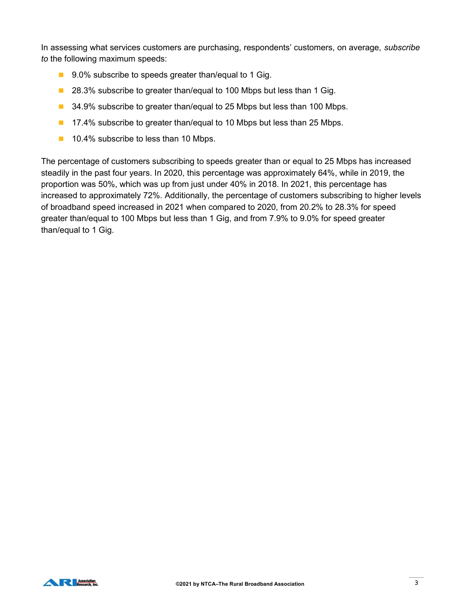In assessing what services customers are purchasing, respondents' customers, on average, subscribe to the following maximum speeds:

- 9.0% subscribe to speeds greater than/equal to 1 Gig.
- 28.3% subscribe to greater than/equal to 100 Mbps but less than 1 Gig.
- 34.9% subscribe to greater than/equal to 25 Mbps but less than 100 Mbps.
- **17.4% subscribe to greater than/equal to 10 Mbps but less than 25 Mbps.**
- **10.4% subscribe to less than 10 Mbps.**

The percentage of customers subscribing to speeds greater than or equal to 25 Mbps has increased steadily in the past four years. In 2020, this percentage was approximately 64%, while in 2019, the proportion was 50%, which was up from just under 40% in 2018. In 2021, this percentage has increased to approximately 72%. Additionally, the percentage of customers subscribing to higher levels of broadband speed increased in 2021 when compared to 2020, from 20.2% to 28.3% for speed greater than/equal to 100 Mbps but less than 1 Gig, and from 7.9% to 9.0% for speed greater than/equal to 1 Gig.

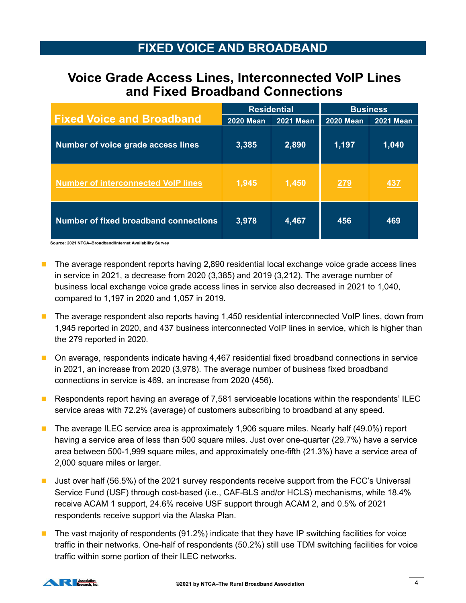## FIXED VOICE AND BROADBAND

## Voice Grade Access Lines, Interconnected VoIP Lines and Fixed Broadband Connections

| <b>FIXED VOICE AND BROADBAND</b>                                                              |                  |                    |                  |                  |
|-----------------------------------------------------------------------------------------------|------------------|--------------------|------------------|------------------|
| <b>Voice Grade Access Lines, Interconnected VoIP Lines</b><br>and Fixed Broadband Connections |                  |                    |                  |                  |
|                                                                                               |                  | <b>Residential</b> |                  | <b>Business</b>  |
| <b>Fixed Voice and Broadband</b>                                                              | <b>2020 Mean</b> | <b>2021 Mean</b>   | <b>2020 Mean</b> | <b>2021 Mean</b> |
| Number of voice grade access lines                                                            | 3,385            | 2,890              | 1,197            | 1,040            |
| <b>Number of interconnected VoIP lines</b>                                                    | 1,945            | 1,450              | 279              | 437              |
|                                                                                               |                  |                    |                  |                  |
| Number of fixed broadband connections                                                         | 3,978            | 4,467              | 456              | 469              |
| Source: 2021 NTCA-Broadband/Internet Availability Survey                                      |                  |                    |                  |                  |

- **The average respondent reports having 2,890 residential local exchange voice grade access lines** in service in 2021, a decrease from 2020 (3,385) and 2019 (3,212). The average number of business local exchange voice grade access lines in service also decreased in 2021 to 1,040, compared to 1,197 in 2020 and 1,057 in 2019.
- The average respondent also reports having 1,450 residential interconnected VoIP lines, down from 1,945 reported in 2020, and 437 business interconnected VoIP lines in service, which is higher than the 279 reported in 2020.
- On average, respondents indicate having 4,467 residential fixed broadband connections in service in 2021, an increase from 2020 (3,978). The average number of business fixed broadband connections in service is 469, an increase from 2020 (456).
- **Respondents report having an average of 7,581 serviceable locations within the respondents' ILEC** service areas with 72.2% (average) of customers subscribing to broadband at any speed.
- The average ILEC service area is approximately 1,906 square miles. Nearly half (49.0%) report having a service area of less than 500 square miles. Just over one-quarter (29.7%) have a service area between 500-1,999 square miles, and approximately one-fifth (21.3%) have a service area of 2,000 square miles or larger.
- **Just over half (56.5%) of the 2021 survey respondents receive support from the FCC's Universal** Service Fund (USF) through cost-based (i.e., CAF-BLS and/or HCLS) mechanisms, while 18.4% receive ACAM 1 support, 24.6% receive USF support through ACAM 2, and 0.5% of 2021 respondents receive support via the Alaska Plan.
- $\blacksquare$  The vast majority of respondents (91.2%) indicate that they have IP switching facilities for voice traffic in their networks. One-half of respondents (50.2%) still use TDM switching facilities for voice traffic within some portion of their ILEC networks.

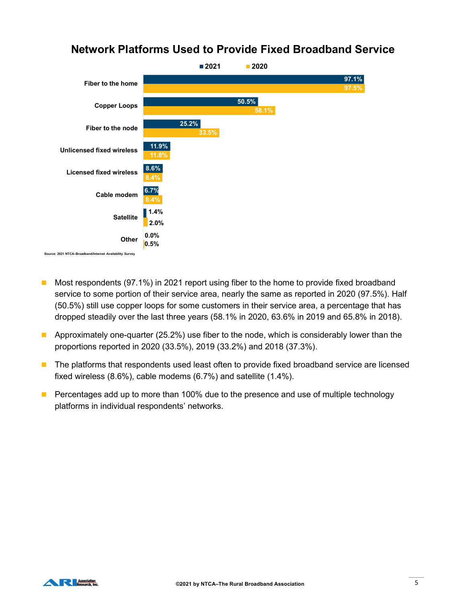

## Network Platforms Used to Provide Fixed Broadband Service

- Most respondents (97.1%) in 2021 report using fiber to the home to provide fixed broadband service to some portion of their service area, nearly the same as reported in 2020 (97.5%). Half (50.5%) still use copper loops for some customers in their service area, a percentage that has dropped steadily over the last three years (58.1% in 2020, 63.6% in 2019 and 65.8% in 2018).
- **Approximately one-quarter (25.2%) use fiber to the node, which is considerably lower than the** proportions reported in 2020 (33.5%), 2019 (33.2%) and 2018 (37.3%).
- **The platforms that respondents used least often to provide fixed broadband service are licensed** fixed wireless (8.6%), cable modems (6.7%) and satellite (1.4%).
- **Percentages add up to more than 100% due to the presence and use of multiple technology** platforms in individual respondents' networks.

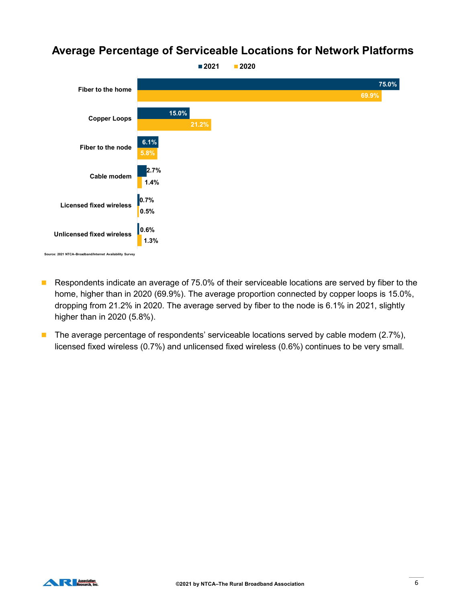#### Average Percentage of Serviceable Locations for Network Platforms



- Respondents indicate an average of 75.0% of their serviceable locations are served by fiber to the home, higher than in 2020 (69.9%). The average proportion connected by copper loops is 15.0%, dropping from 21.2% in 2020. The average served by fiber to the node is 6.1% in 2021, slightly higher than in 2020 (5.8%).
- The average percentage of respondents' serviceable locations served by cable modem  $(2.7\%)$ , licensed fixed wireless (0.7%) and unlicensed fixed wireless (0.6%) continues to be very small.

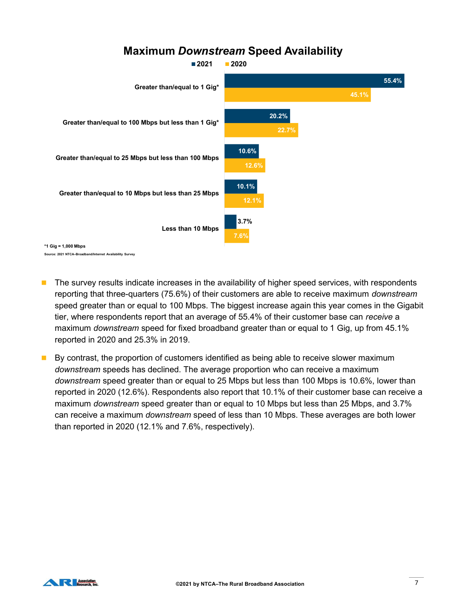#### Maximum Downstream Speed Availability



- **The survey results indicate increases in the availability of higher speed services, with respondents** reporting that three-quarters (75.6%) of their customers are able to receive maximum downstream speed greater than or equal to 100 Mbps. The biggest increase again this year comes in the Gigabit tier, where respondents report that an average of 55.4% of their customer base can receive a maximum *downstream* speed for fixed broadband greater than or equal to 1 Gig, up from 45.1% reported in 2020 and 25.3% in 2019.
- By contrast, the proportion of customers identified as being able to receive slower maximum downstream speeds has declined. The average proportion who can receive a maximum downstream speed greater than or equal to 25 Mbps but less than 100 Mbps is 10.6%, lower than reported in 2020 (12.6%). Respondents also report that 10.1% of their customer base can receive a maximum *downstream* speed greater than or equal to 10 Mbps but less than 25 Mbps, and 3.7% can receive a maximum downstream speed of less than 10 Mbps. These averages are both lower than reported in 2020 (12.1% and 7.6%, respectively).

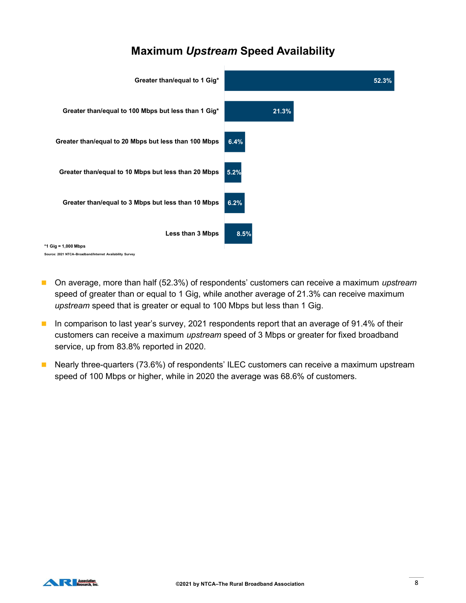## Maximum Upstream Speed Availability



- On average, more than half (52.3%) of respondents' customers can receive a maximum upstream speed of greater than or equal to 1 Gig, while another average of 21.3% can receive maximum upstream speed that is greater or equal to 100 Mbps but less than 1 Gig.
- In comparison to last year's survey, 2021 respondents report that an average of 91.4% of their customers can receive a maximum *upstream* speed of 3 Mbps or greater for fixed broadband service, up from 83.8% reported in 2020.
- **Nearly three-quarters (73.6%) of respondents' ILEC customers can receive a maximum upstream** speed of 100 Mbps or higher, while in 2020 the average was 68.6% of customers.

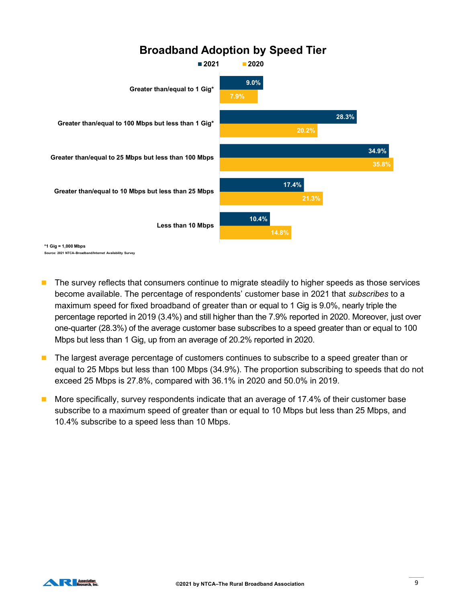

- **The survey reflects that consumers continue to migrate steadily to higher speeds as those services** become available. The percentage of respondents' customer base in 2021 that subscribes to a maximum speed for fixed broadband of greater than or equal to 1 Gig is 9.0%, nearly triple the percentage reported in 2019 (3.4%) and still higher than the 7.9% reported in 2020. Moreover, just over one-quarter (28.3%) of the average customer base subscribes to a speed greater than or equal to 100 Mbps but less than 1 Gig, up from an average of 20.2% reported in 2020.
- The largest average percentage of customers continues to subscribe to a speed greater than or equal to 25 Mbps but less than 100 Mbps (34.9%). The proportion subscribing to speeds that do not exceed 25 Mbps is 27.8%, compared with 36.1% in 2020 and 50.0% in 2019.
- **More specifically, survey respondents indicate that an average of 17.4% of their customer base** subscribe to a maximum speed of greater than or equal to 10 Mbps but less than 25 Mbps, and 10.4% subscribe to a speed less than 10 Mbps.

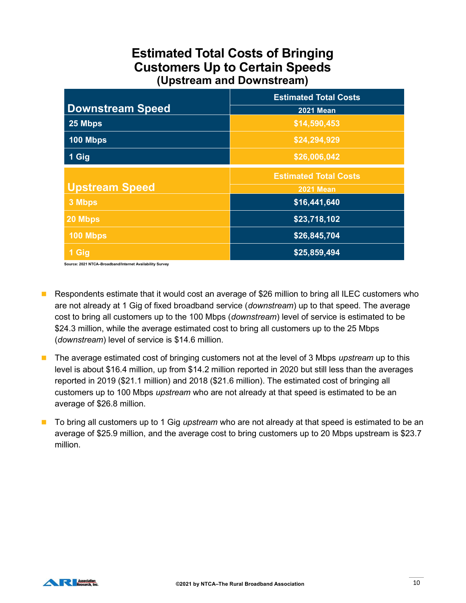## Estimated Total Costs of Bringing Customers Up to Certain Speeds (Upstream and Downstream)

|                         | <b>Estimated Total Costs</b> |
|-------------------------|------------------------------|
| <b>Downstream Speed</b> | <b>2021 Mean</b>             |
| 25 Mbps                 | \$14,590,453                 |
| 100 Mbps                | \$24,294,929                 |
| 1 Gig                   | \$26,006,042                 |
|                         | <b>Estimated Total Costs</b> |
| <b>Upstream Speed</b>   | <b>2021 Mean</b>             |
| 3 Mbps                  | \$16,441,640                 |
| 20 Mbps                 | \$23,718,102                 |
| <b>100 Mbps</b>         | \$26,845,704                 |
| 1 Gig                   | \$25,859,494                 |

Source: 2021 NTCA–Broadband/Internet Availability Survey

- Respondents estimate that it would cost an average of \$26 million to bring all ILEC customers who are not already at 1 Gig of fixed broadband service (downstream) up to that speed. The average cost to bring all customers up to the 100 Mbps (downstream) level of service is estimated to be \$24.3 million, while the average estimated cost to bring all customers up to the 25 Mbps (downstream) level of service is \$14.6 million.
- **The average estimated cost of bringing customers not at the level of 3 Mbps upstream up to this** level is about \$16.4 million, up from \$14.2 million reported in 2020 but still less than the averages reported in 2019 (\$21.1 million) and 2018 (\$21.6 million). The estimated cost of bringing all customers up to 100 Mbps *upstream* who are not already at that speed is estimated to be an average of \$26.8 million.
- To bring all customers up to 1 Gig *upstream* who are not already at that speed is estimated to be an average of \$25.9 million, and the average cost to bring customers up to 20 Mbps upstream is \$23.7 million.

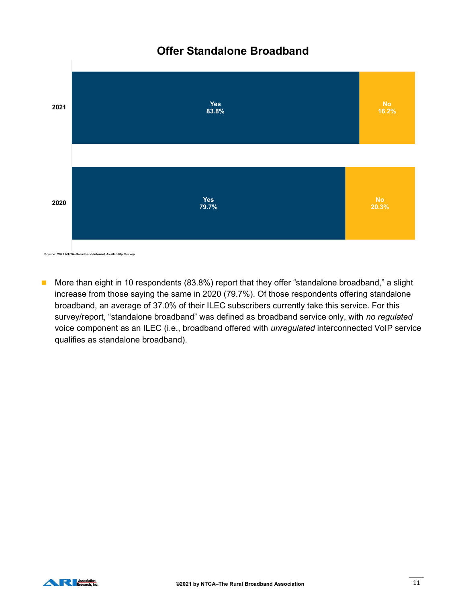## Offer Standalone Broadband



■ More than eight in 10 respondents (83.8%) report that they offer "standalone broadband," a slight increase from those saying the same in 2020 (79.7%). Of those respondents offering standalone broadband, an average of 37.0% of their ILEC subscribers currently take this service. For this survey/report, "standalone broadband" was defined as broadband service only, with no regulated voice component as an ILEC (i.e., broadband offered with unregulated interconnected VoIP service qualifies as standalone broadband).

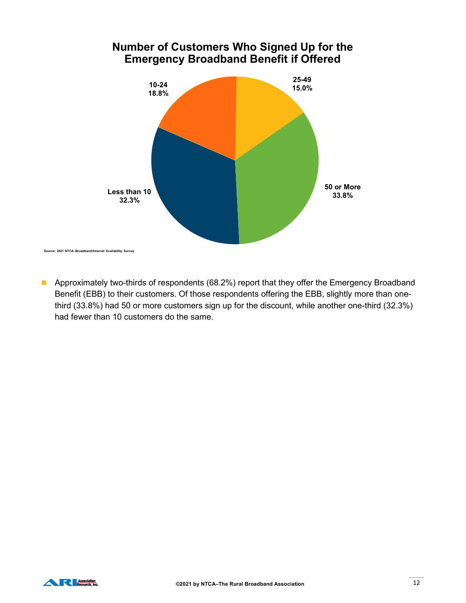#### Number of Customers Who Signed Up for the Emergency Broadband Benefit if Offered



**Approximately two-thirds of respondents (68.2%) report that they offer the Emergency Broadband** Benefit (EBB) to their customers. Of those respondents offering the EBB, slightly more than onethird (33.8%) had 50 or more customers sign up for the discount, while another one-third (32.3%) had fewer than 10 customers do the same.

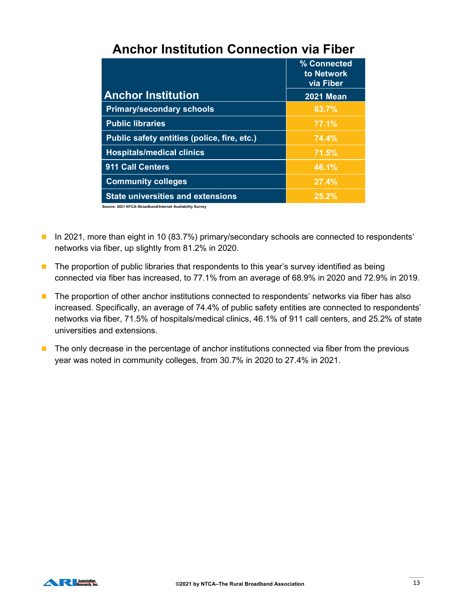|                                             | % Connected<br>to Network<br>via Fiber |
|---------------------------------------------|----------------------------------------|
| <b>Anchor Institution</b>                   | <b>2021 Mean</b>                       |
| <b>Primary/secondary schools</b>            | 83.7%                                  |
| <b>Public libraries</b>                     | 77.1%                                  |
| Public safety entities (police, fire, etc.) | 74.4%                                  |
| <b>Hospitals/medical clinics</b>            | 71.5%                                  |
| 911 Call Centers                            | 46.1%                                  |
| <b>Community colleges</b>                   | 27.4%                                  |
| <b>State universities and extensions</b>    | 25.2%                                  |

## Anchor Institution Connection via Fiber

Source: 2021 NTCA–Broadband/Internet Availability Survey

- In 2021, more than eight in 10 (83.7%) primary/secondary schools are connected to respondents' networks via fiber, up slightly from 81.2% in 2020.
- $\blacksquare$  The proportion of public libraries that respondents to this year's survey identified as being connected via fiber has increased, to 77.1% from an average of 68.9% in 2020 and 72.9% in 2019.
- The proportion of other anchor institutions connected to respondents' networks via fiber has also increased. Specifically, an average of 74.4% of public safety entities are connected to respondents' networks via fiber, 71.5% of hospitals/medical clinics, 46.1% of 911 call centers, and 25.2% of state universities and extensions.
- $\blacksquare$  The only decrease in the percentage of anchor institutions connected via fiber from the previous year was noted in community colleges, from 30.7% in 2020 to 27.4% in 2021.

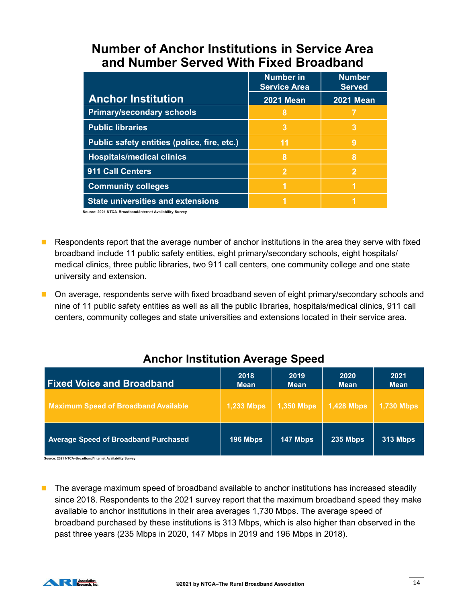## Number of Anchor Institutions in Service Area and Number Served With Fixed Broadband

| <b>Number of Anchor Institutions in Service Area</b> |                     |                  |
|------------------------------------------------------|---------------------|------------------|
|                                                      |                     |                  |
|                                                      |                     |                  |
| and Number Served With Fixed Broadband               | <b>Number in</b>    | <b>Number</b>    |
|                                                      | <b>Service Area</b> | <b>Served</b>    |
| <b>Anchor Institution</b>                            | <b>2021 Mean</b>    | <b>2021 Mean</b> |
| <b>Primary/secondary schools</b>                     | 8                   | 7                |
| <b>Public libraries</b>                              | $\overline{3}$      | $\overline{3}$   |
| Public safety entities (police, fire, etc.)          | 11                  | 9                |
| <b>Hospitals/medical clinics</b>                     | $\boldsymbol{8}$    | 8                |
| 911 Call Centers                                     | $\overline{2}$      | $\overline{2}$   |
| <b>Community colleges</b>                            | $\overline{1}$      | $\overline{1}$   |

- **Respondents report that the average number of anchor institutions in the area they serve with fixed** broadband include 11 public safety entities, eight primary/secondary schools, eight hospitals/ medical clinics, three public libraries, two 911 call centers, one community college and one state university and extension.
- **Deta** On average, respondents serve with fixed broadband seven of eight primary/secondary schools and nine of 11 public safety entities as well as all the public libraries, hospitals/medical clinics, 911 call centers, community colleges and state universities and extensions located in their service area.

## Anchor Institution Average Speed

| Source: 2021 NTCA-Broadband/Internet Availability Survey                                                                                                                                                                                                                                                                                 |                     |                     |                     |                     |
|------------------------------------------------------------------------------------------------------------------------------------------------------------------------------------------------------------------------------------------------------------------------------------------------------------------------------------------|---------------------|---------------------|---------------------|---------------------|
| Respondents report that the average number of anchor institutions in the area they serve with fixed<br>broadband include 11 public safety entities, eight primary/secondary schools, eight hospitals/<br>medical clinics, three public libraries, two 911 call centers, one community college and one state<br>university and extension. |                     |                     |                     |                     |
| On average, respondents serve with fixed broadband seven of eight primary/secondary schools and<br>nine of 11 public safety entities as well as all the public libraries, hospitals/medical clinics, 911 call<br>centers, community colleges and state universities and extensions located in their service area.                        |                     |                     |                     |                     |
|                                                                                                                                                                                                                                                                                                                                          |                     |                     |                     |                     |
| <b>Anchor Institution Average Speed</b>                                                                                                                                                                                                                                                                                                  |                     |                     |                     |                     |
| <b>Fixed Voice and Broadband</b>                                                                                                                                                                                                                                                                                                         | 2018<br><b>Mean</b> | 2019<br><b>Mean</b> | 2020<br><b>Mean</b> | 2021<br><b>Mean</b> |
| <b>Maximum Speed of Broadband Available</b>                                                                                                                                                                                                                                                                                              | <b>1,233 Mbps</b>   | <b>1,350 Mbps</b>   | <b>1,428 Mbps</b>   | <b>1,730 Mbps</b>   |

**The average maximum speed of broadband available to anchor institutions has increased steadily** since 2018. Respondents to the 2021 survey report that the maximum broadband speed they make available to anchor institutions in their area averages 1,730 Mbps. The average speed of broadband purchased by these institutions is 313 Mbps, which is also higher than observed in the past three years (235 Mbps in 2020, 147 Mbps in 2019 and 196 Mbps in 2018).

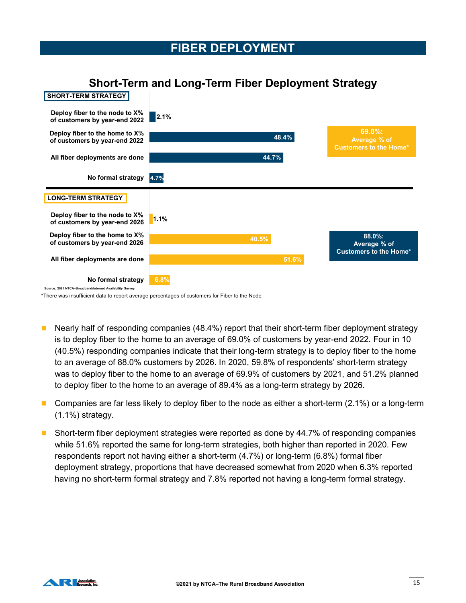#### FIBER DEPLOYMENT



#### Short-Term and Long-Term Fiber Deployment Strategy

\*There was insufficient data to report average percentages of customers for Fiber to the Node.

- Nearly half of responding companies (48.4%) report that their short-term fiber deployment strategy is to deploy fiber to the home to an average of 69.0% of customers by year-end 2022. Four in 10 (40.5%) responding companies indicate that their long-term strategy is to deploy fiber to the home to an average of 88.0% customers by 2026. In 2020, 59.8% of respondents' short-term strategy was to deploy fiber to the home to an average of 69.9% of customers by 2021, and 51.2% planned to deploy fiber to the home to an average of 89.4% as a long-term strategy by 2026.
- **Companies are far less likely to deploy fiber to the node as either a short-term (2.1%) or a long-term** (1.1%) strategy.
- Short-term fiber deployment strategies were reported as done by 44.7% of responding companies while 51.6% reported the same for long-term strategies, both higher than reported in 2020. Few respondents report not having either a short-term (4.7%) or long-term (6.8%) formal fiber deployment strategy, proportions that have decreased somewhat from 2020 when 6.3% reported having no short-term formal strategy and 7.8% reported not having a long-term formal strategy.

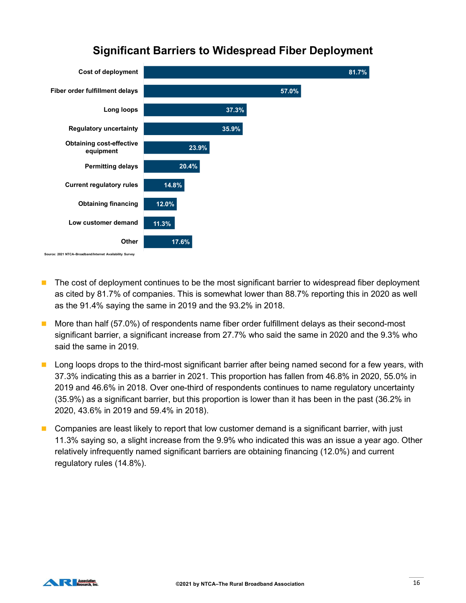

#### Significant Barriers to Widespread Fiber Deployment

- **The cost of deployment continues to be the most significant barrier to widespread fiber deployment** as cited by 81.7% of companies. This is somewhat lower than 88.7% reporting this in 2020 as well as the 91.4% saying the same in 2019 and the 93.2% in 2018.
- **More than half (57.0%) of respondents name fiber order fulfillment delays as their second-most** significant barrier, a significant increase from 27.7% who said the same in 2020 and the 9.3% who said the same in 2019.
- **Long loops drops to the third-most significant barrier after being named second for a few years, with** 37.3% indicating this as a barrier in 2021. This proportion has fallen from 46.8% in 2020, 55.0% in 2019 and 46.6% in 2018. Over one-third of respondents continues to name regulatory uncertainty (35.9%) as a significant barrier, but this proportion is lower than it has been in the past (36.2% in 2020, 43.6% in 2019 and 59.4% in 2018).
- **Companies are least likely to report that low customer demand is a significant barrier, with just** 11.3% saying so, a slight increase from the 9.9% who indicated this was an issue a year ago. Other relatively infrequently named significant barriers are obtaining financing (12.0%) and current regulatory rules (14.8%).

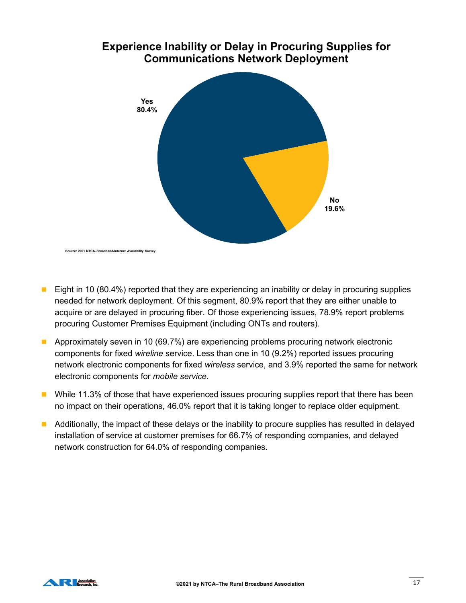

# Experience Inability or Delay in Procuring Supplies for

- **Eight in 10 (80.4%) reported that they are experiencing an inability or delay in procuring supplies** needed for network deployment. Of this segment, 80.9% report that they are either unable to acquire or are delayed in procuring fiber. Of those experiencing issues, 78.9% report problems procuring Customer Premises Equipment (including ONTs and routers).
- **Approximately seven in 10 (69.7%) are experiencing problems procuring network electronic** components for fixed wireline service. Less than one in 10 (9.2%) reported issues procuring network electronic components for fixed wireless service, and 3.9% reported the same for network electronic components for mobile service.
- **Net While 11.3% of those that have experienced issues procuring supplies report that there has been** no impact on their operations, 46.0% report that it is taking longer to replace older equipment.
- **Additionally, the impact of these delays or the inability to procure supplies has resulted in delayed** installation of service at customer premises for 66.7% of responding companies, and delayed network construction for 64.0% of responding companies.

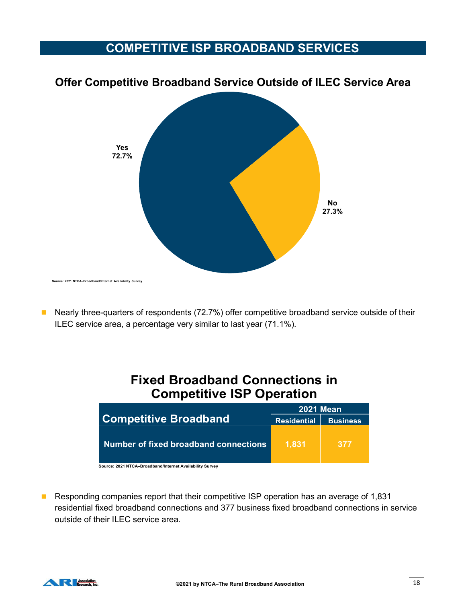## COMPETITIVE ISP BROADBAND SERVICES



#### Offer Competitive Broadband Service Outside of ILEC Service Area

■ Nearly three-quarters of respondents (72.7%) offer competitive broadband service outside of their ILEC service area, a percentage very similar to last year (71.1%).

## Fixed Broadband Connections in Competitive ISP Operation

| d/Internet Availability Survey                                                                                                                                                                                                 |                    |                  |  |
|--------------------------------------------------------------------------------------------------------------------------------------------------------------------------------------------------------------------------------|--------------------|------------------|--|
|                                                                                                                                                                                                                                |                    |                  |  |
| e-quarters of respondents (72.7%) offer competitive broadband service outside of their<br>e area, a percentage very similar to last year (71.1%).<br><b>Fixed Broadband Connections in</b><br><b>Competitive ISP Operation</b> |                    |                  |  |
|                                                                                                                                                                                                                                |                    | <b>2021 Mean</b> |  |
| <b>Competitive Broadband</b>                                                                                                                                                                                                   | <b>Residential</b> | <b>Business</b>  |  |
| <b>Number of fixed broadband connections</b>                                                                                                                                                                                   | 1,831              | 377              |  |
| Source: 2021 NTCA-Broadband/Internet Availability Survey                                                                                                                                                                       |                    |                  |  |
|                                                                                                                                                                                                                                |                    |                  |  |
|                                                                                                                                                                                                                                |                    |                  |  |

■ Responding companies report that their competitive ISP operation has an average of 1,831 residential fixed broadband connections and 377 business fixed broadband connections in service outside of their ILEC service area.

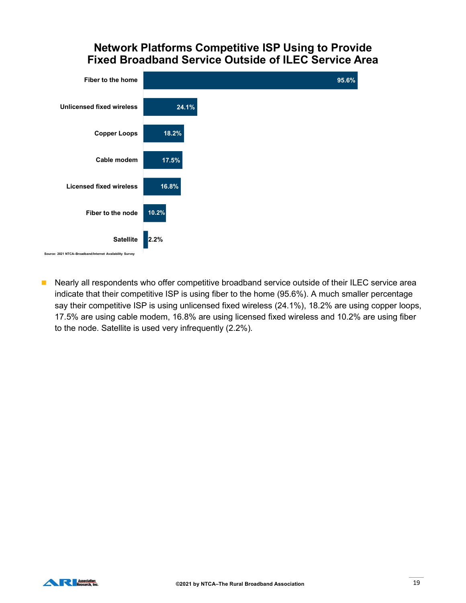#### Network Platforms Competitive ISP Using to Provide Fixed Broadband Service Outside of ILEC Service Area



■ Nearly all respondents who offer competitive broadband service outside of their ILEC service area indicate that their competitive ISP is using fiber to the home (95.6%). A much smaller percentage say their competitive ISP is using unlicensed fixed wireless (24.1%), 18.2% are using copper loops, 17.5% are using cable modem, 16.8% are using licensed fixed wireless and 10.2% are using fiber to the node. Satellite is used very infrequently (2.2%).

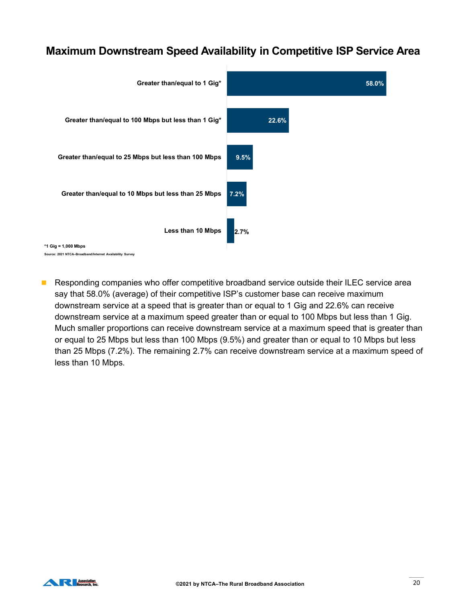#### Maximum Downstream Speed Availability in Competitive ISP Service Area



**Responding companies who offer competitive broadband service outside their ILEC service area** say that 58.0% (average) of their competitive ISP's customer base can receive maximum downstream service at a speed that is greater than or equal to 1 Gig and 22.6% can receive downstream service at a maximum speed greater than or equal to 100 Mbps but less than 1 Gig. Much smaller proportions can receive downstream service at a maximum speed that is greater than or equal to 25 Mbps but less than 100 Mbps (9.5%) and greater than or equal to 10 Mbps but less than 25 Mbps (7.2%). The remaining 2.7% can receive downstream service at a maximum speed of less than 10 Mbps.

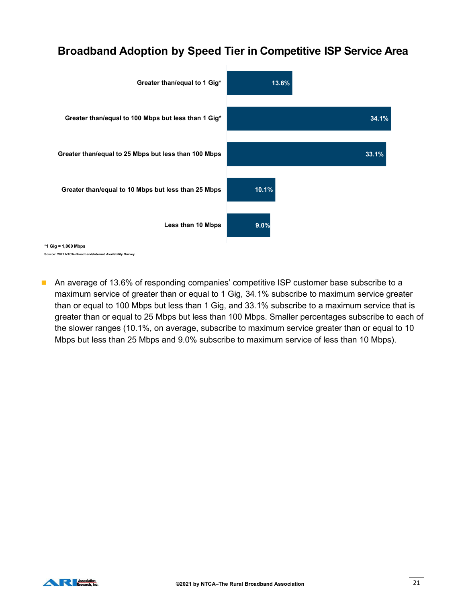## Broadband Adoption by Speed Tier in Competitive ISP Service Area



**An average of 13.6% of responding companies' competitive ISP customer base subscribe to a** maximum service of greater than or equal to 1 Gig, 34.1% subscribe to maximum service greater than or equal to 100 Mbps but less than 1 Gig, and 33.1% subscribe to a maximum service that is greater than or equal to 25 Mbps but less than 100 Mbps. Smaller percentages subscribe to each of the slower ranges (10.1%, on average, subscribe to maximum service greater than or equal to 10 Mbps but less than 25 Mbps and 9.0% subscribe to maximum service of less than 10 Mbps).

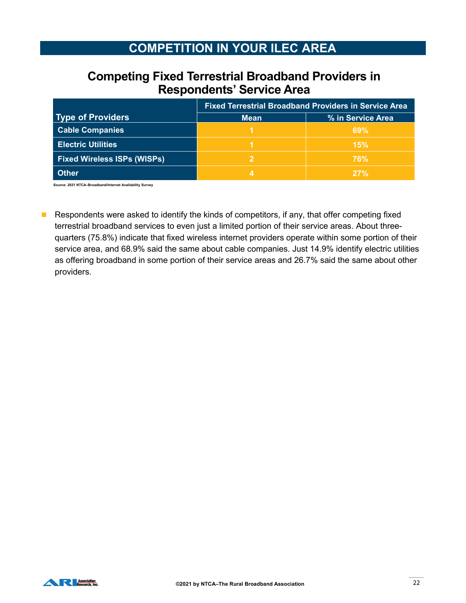## COMPETITION IN YOUR ILEC AREA

#### Competing Fixed Terrestrial Broadband Providers in Respondents' Service Area

| <b>COMPETITION IN YOUR ILEC AREA</b><br><b>Competing Fixed Terrestrial Broadband Providers in</b><br><b>Respondents' Service Area</b> | <b>Fixed Terrestrial Broadband Providers in Service Area</b> |
|---------------------------------------------------------------------------------------------------------------------------------------|--------------------------------------------------------------|
|                                                                                                                                       |                                                              |
|                                                                                                                                       |                                                              |
|                                                                                                                                       |                                                              |
|                                                                                                                                       |                                                              |
|                                                                                                                                       |                                                              |
|                                                                                                                                       |                                                              |
|                                                                                                                                       |                                                              |
|                                                                                                                                       |                                                              |
|                                                                                                                                       |                                                              |
|                                                                                                                                       |                                                              |
| <b>Type of Providers</b><br><b>Mean</b>                                                                                               | % in Service Area                                            |
|                                                                                                                                       | 69%                                                          |
| <b>Cable Companies</b>                                                                                                                |                                                              |
| <b>Electric Utilities</b>                                                                                                             | 15%                                                          |
| <b>Fixed Wireless ISPs (WISPs)</b><br>$\overline{2}$                                                                                  | 76%                                                          |

Respondents were asked to identify the kinds of competitors, if any, that offer competing fixed terrestrial broadband services to even just a limited portion of their service areas. About threequarters (75.8%) indicate that fixed wireless internet providers operate within some portion of their service area, and 68.9% said the same about cable companies. Just 14.9% identify electric utilities as offering broadband in some portion of their service areas and 26.7% said the same about other providers.

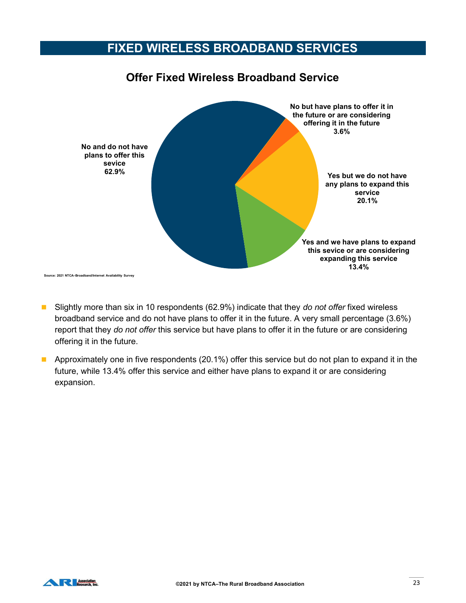#### FIXED WIRELESS BROADBAND SERVICES



#### Slightly more than six in 10 respondents (62.9%) indicate that they do not offer fixed wireless broadband service and do not have plans to offer it in the future. A very small percentage (3.6%) report that they do not offer this service but have plans to offer it in the future or are considering offering it in the future.

**Approximately one in five respondents (20.1%) offer this service but do not plan to expand it in the** future, while 13.4% offer this service and either have plans to expand it or are considering expansion.

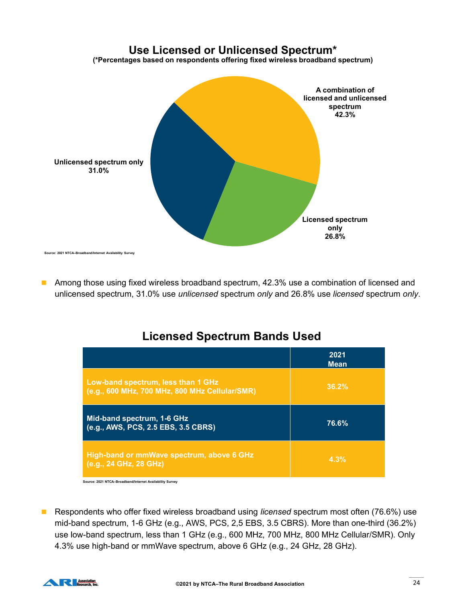

**Among those using fixed wireless broadband spectrum, 42.3% use a combination of licensed and** unlicensed spectrum, 31.0% use *unlicensed* spectrum *only* and 26.8% use *licensed* spectrum *only*.

## Licensed Spectrum Bands Used

| those using fixed wireless broadband spectrum, 42.3% use a combination of licensed and<br>sed spectrum, 31.0% use unlicensed spectrum only and 26.8% use licensed spectrum only. |                     |
|----------------------------------------------------------------------------------------------------------------------------------------------------------------------------------|---------------------|
| <b>Licensed Spectrum Bands Used</b>                                                                                                                                              |                     |
|                                                                                                                                                                                  | 2021<br><b>Mean</b> |
| Low-band spectrum, less than 1 GHz<br>(e.g., 600 MHz, 700 MHz, 800 MHz Cellular/SMR)                                                                                             | 36.2%               |
| Mid-band spectrum, 1-6 GHz<br>(e.g., AWS, PCS, 2.5 EBS, 3.5 CBRS)                                                                                                                | 76.6%               |
| High-band or mmWave spectrum, above 6 GHz<br>(e.g., 24 GHz, 28 GHz)                                                                                                              | 4.3%                |

■ Respondents who offer fixed wireless broadband using *licensed* spectrum most often (76.6%) use mid-band spectrum, 1-6 GHz (e.g., AWS, PCS, 2,5 EBS, 3.5 CBRS). More than one-third (36.2%) use low-band spectrum, less than 1 GHz (e.g., 600 MHz, 700 MHz, 800 MHz Cellular/SMR). Only 4.3% use high-band or mmWave spectrum, above 6 GHz (e.g., 24 GHz, 28 GHz).

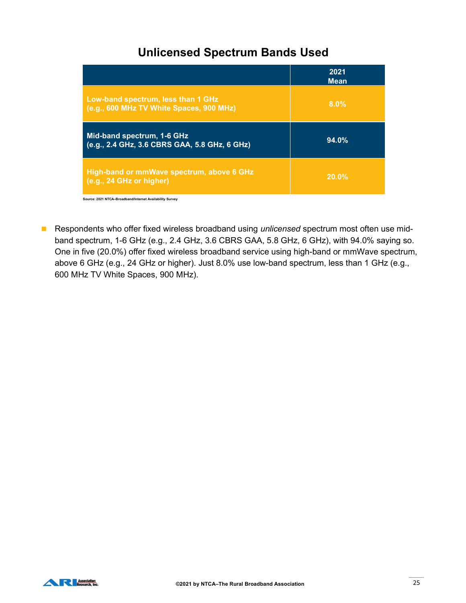## Unlicensed Spectrum Bands Used

| <b>Unlicensed Spectrum Bands Used</b>                                          |                     |
|--------------------------------------------------------------------------------|---------------------|
|                                                                                | 2021                |
| Low-band spectrum, less than 1 GHz<br>(e.g., 600 MHz TV White Spaces, 900 MHz) | <b>Mean</b><br>8.0% |
| Mid-band spectrum, 1-6 GHz<br>(e.g., 2.4 GHz, 3.6 CBRS GAA, 5.8 GHz, 6 GHz)    | 94.0%               |
| High-band or mmWave spectrum, above 6 GHz<br>(e.g., 24 GHz or higher)          | 20.0%               |
| Source: 2021 NTCA-Broadband/Internet Availability Survey                       |                     |

Respondents who offer fixed wireless broadband using unlicensed spectrum most often use midband spectrum, 1-6 GHz (e.g., 2.4 GHz, 3.6 CBRS GAA, 5.8 GHz, 6 GHz), with 94.0% saying so. One in five (20.0%) offer fixed wireless broadband service using high-band or mmWave spectrum, above 6 GHz (e.g., 24 GHz or higher). Just 8.0% use low-band spectrum, less than 1 GHz (e.g., 600 MHz TV White Spaces, 900 MHz).

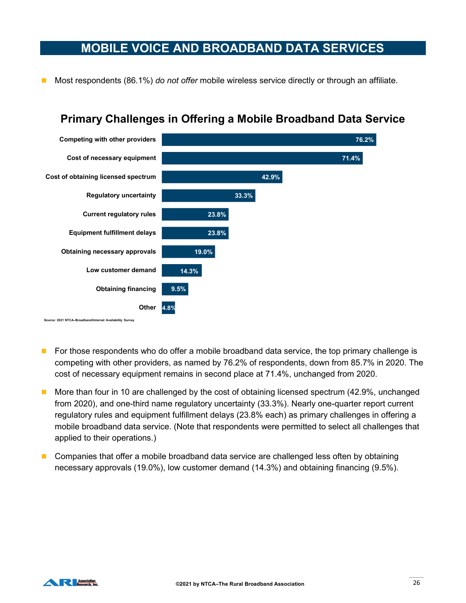#### MOBILE VOICE AND BROADBAND DATA SERVICES

Most respondents (86.1%) do not offer mobile wireless service directly or through an affiliate.



## Primary Challenges in Offering a Mobile Broadband Data Service

- For those respondents who do offer a mobile broadband data service, the top primary challenge is competing with other providers, as named by 76.2% of respondents, down from 85.7% in 2020. The cost of necessary equipment remains in second place at 71.4%, unchanged from 2020.
- **More than four in 10 are challenged by the cost of obtaining licensed spectrum (42.9%, unchanged** from 2020), and one-third name regulatory uncertainty (33.3%). Nearly one-quarter report current regulatory rules and equipment fulfillment delays (23.8% each) as primary challenges in offering a mobile broadband data service. (Note that respondents were permitted to select all challenges that applied to their operations.)
- **Companies that offer a mobile broadband data service are challenged less often by obtaining** necessary approvals (19.0%), low customer demand (14.3%) and obtaining financing (9.5%).

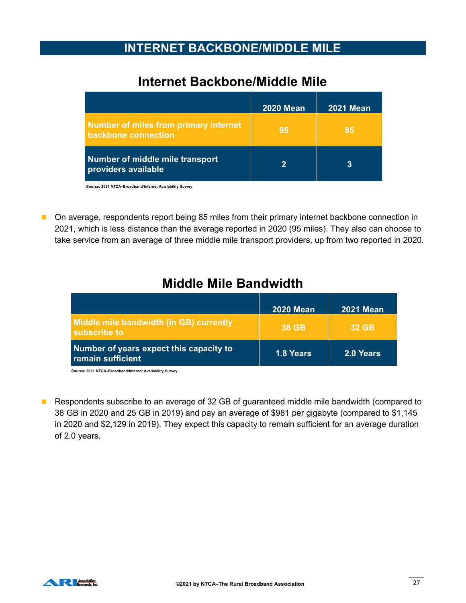#### INTERNET BACKBONE/MIDDLE MILE

## Internet Backbone/Middle Mile

| <b>INTERNET BACKBONE/MIDDLE MILE</b>                         |                  |                  |
|--------------------------------------------------------------|------------------|------------------|
| <b>Internet Backbone/Middle Mile</b>                         |                  |                  |
|                                                              | <b>2020 Mean</b> | <b>2021 Mean</b> |
|                                                              |                  |                  |
| Number of miles from primary internet<br>backbone connection | 95               | 85               |
| Number of middle mile transport<br>providers available       | $\overline{2}$   | 3                |

■ On average, respondents report being 85 miles from their primary internet backbone connection in 2021, which is less distance than the average reported in 2020 (95 miles). They also can choose to take service from an average of three middle mile transport providers, up from two reported in 2020.

## Middle Mile Bandwidth

|                                                                                                                                 |                  | =V= : !!!VW!!    |
|---------------------------------------------------------------------------------------------------------------------------------|------------------|------------------|
| Number of miles from primary internet<br>backbone connection                                                                    | 95               | 85               |
| Number of middle mile transport<br>providers available                                                                          | $\overline{2}$   | 3                |
| Source: 2021 NTCA-Broadband/Internet Availability Survey                                                                        |                  |                  |
| service from an average of three middle mile transport providers, up from two reported in 2020.<br><b>Middle Mile Bandwidth</b> |                  |                  |
|                                                                                                                                 | <b>2020 Mean</b> | <b>2021 Mean</b> |
| Middle mile bandwidth (in GB) currently<br>subscribe to                                                                         | <b>38 GB</b>     | <b>32 GB</b>     |
| Number of years expect this capacity to<br>remain sufficient                                                                    | 1.8 Years        | 2.0 Years        |
| Source: 2021 NTCA-Broadband/Internet Availability Survey                                                                        |                  |                  |
| pondents subscribe to an average of 32 GB of guaranteed middle mile bandwidth (compared to                                      |                  |                  |

■ Respondents subscribe to an average of 32 GB of guaranteed middle mile bandwidth (compared to 38 GB in 2020 and 25 GB in 2019) and pay an average of \$981 per gigabyte (compared to \$1,145 in 2020 and \$2,129 in 2019). They expect this capacity to remain sufficient for an average duration of 2.0 years.

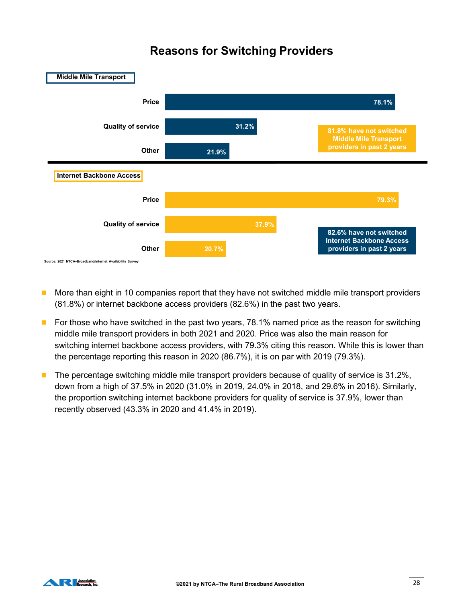## Reasons for Switching Providers



- More than eight in 10 companies report that they have not switched middle mile transport providers (81.8%) or internet backbone access providers (82.6%) in the past two years.
- For those who have switched in the past two years,  $78.1\%$  named price as the reason for switching middle mile transport providers in both 2021 and 2020. Price was also the main reason for switching internet backbone access providers, with 79.3% citing this reason. While this is lower than the percentage reporting this reason in 2020 (86.7%), it is on par with 2019 (79.3%).
- **The percentage switching middle mile transport providers because of quality of service is 31.2%,** down from a high of 37.5% in 2020 (31.0% in 2019, 24.0% in 2018, and 29.6% in 2016). Similarly, the proportion switching internet backbone providers for quality of service is 37.9%, lower than recently observed (43.3% in 2020 and 41.4% in 2019).

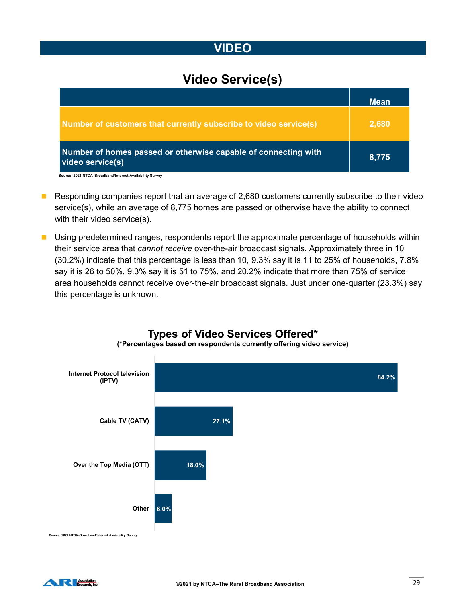## VIDEO

## Video Service(s)

| <b>VIDEO</b>                                                                       |             |
|------------------------------------------------------------------------------------|-------------|
| <b>Video Service(s)</b>                                                            |             |
|                                                                                    | <b>Mean</b> |
| Number of customers that currently subscribe to video service(s)                   | 2,680       |
| Number of homes passed or otherwise capable of connecting with<br>video service(s) | 8,775       |

- Responding companies report that an average of 2,680 customers currently subscribe to their video service(s), while an average of 8,775 homes are passed or otherwise have the ability to connect with their video service(s).
- **Using predetermined ranges, respondents report the approximate percentage of households within** their service area that cannot receive over-the-air broadcast signals. Approximately three in 10 (30.2%) indicate that this percentage is less than 10, 9.3% say it is 11 to 25% of households, 7.8% say it is 26 to 50%, 9.3% say it is 51 to 75%, and 20.2% indicate that more than 75% of service area households cannot receive over-the-air broadcast signals. Just under one-quarter (23.3%) say this percentage is unknown.



Types of Video Services Offered\* (\*Percentages based on respondents currently offering video service)

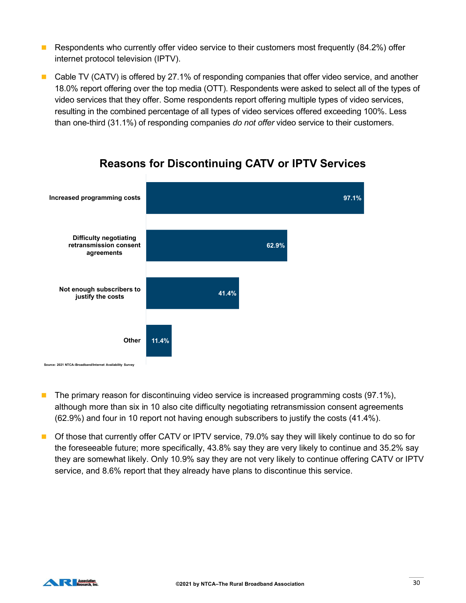- Respondents who currently offer video service to their customers most frequently  $(84.2\%)$  offer internet protocol television (IPTV).
- Cable TV (CATV) is offered by 27.1% of responding companies that offer video service, and another 18.0% report offering over the top media (OTT). Respondents were asked to select all of the types of video services that they offer. Some respondents report offering multiple types of video services, resulting in the combined percentage of all types of video services offered exceeding 100%. Less than one-third (31.1%) of responding companies do not offer video service to their customers.



#### Reasons for Discontinuing CATV or IPTV Services

- The primary reason for discontinuing video service is increased programming costs (97.1%), although more than six in 10 also cite difficulty negotiating retransmission consent agreements (62.9%) and four in 10 report not having enough subscribers to justify the costs (41.4%).
- **Of those that currently offer CATV or IPTV service, 79.0% say they will likely continue to do so for** the foreseeable future; more specifically, 43.8% say they are very likely to continue and 35.2% say they are somewhat likely. Only 10.9% say they are not very likely to continue offering CATV or IPTV service, and 8.6% report that they already have plans to discontinue this service.

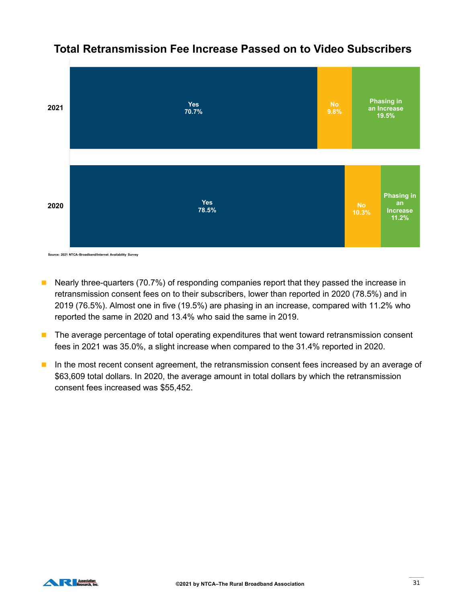

#### Total Retransmission Fee Increase Passed on to Video Subscribers

Source: 2021 NTCA–Broadband/Internet Availability Survey

- Nearly three-quarters (70.7%) of responding companies report that they passed the increase in retransmission consent fees on to their subscribers, lower than reported in 2020 (78.5%) and in 2019 (76.5%). Almost one in five (19.5%) are phasing in an increase, compared with 11.2% who reported the same in 2020 and 13.4% who said the same in 2019.
- **The average percentage of total operating expenditures that went toward retransmission consent** fees in 2021 was 35.0%, a slight increase when compared to the 31.4% reported in 2020.
- In the most recent consent agreement, the retransmission consent fees increased by an average of \$63,609 total dollars. In 2020, the average amount in total dollars by which the retransmission consent fees increased was \$55,452.